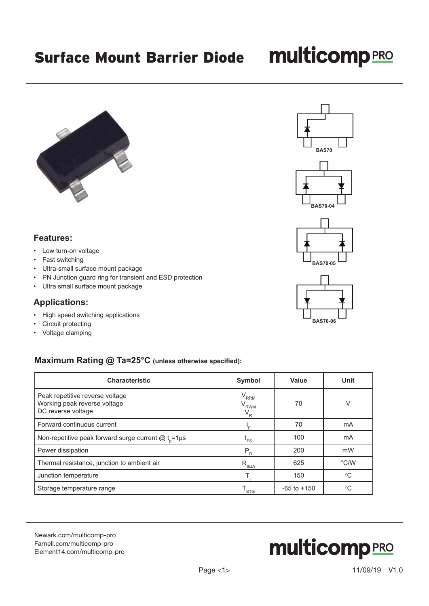# **multicomp**PRO





**BAS70-06**

## **Features:**

- Low turn-on voltage
- Fast switching
- Ultra-small surface mount package
- PN Junction guard ring for transient and ESD protection
- Ultra small surface mount package

#### **Applications:**

- High speed switching applications
- Circuit protecting
- Voltage clamping

## **Maximum Rating @ Ta=25°C (unless otherwise specified):**

| <b>Characteristic</b>                                                                 | Symbol                                 | Value           | Unit          |
|---------------------------------------------------------------------------------------|----------------------------------------|-----------------|---------------|
| Peak repetitive reverse voltage<br>Working peak reverse voltage<br>DC reverse voltage | $V_{RRM}$<br>$\rm V_{_{RWM}}$<br>$V_R$ | 70              | V             |
| Forward continuous current                                                            |                                        | 70              | mA            |
| Non-repetitive peak forward surge current $@t_{0} = 1 \mu s$                          | 'FS                                    | 100             | mA            |
| Power dissipation                                                                     | $P_{\rm p}$                            | 200             | mW            |
| Thermal resistance, junction to ambient air                                           | $R_{th,JA}$                            | 625             | $\degree$ C/W |
| Junction temperature                                                                  |                                        | 150             | $^{\circ}C$   |
| Storage temperature range                                                             | $\mathsf{T}_{\textsf{STG}}$            | $-65$ to $+150$ | $^{\circ}C$   |

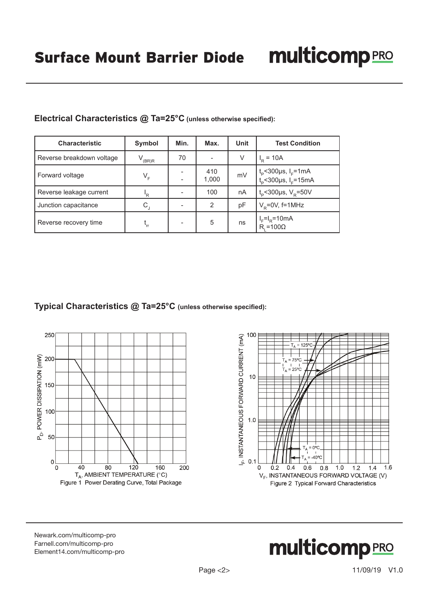| <b>Characteristic</b>     | Symbol                    | Min. | Max.         | <b>Unit</b> | <b>Test Condition</b>                                                               |
|---------------------------|---------------------------|------|--------------|-------------|-------------------------------------------------------------------------------------|
| Reverse breakdown voltage | (BR)R                     | 70   |              | V           | $I_{\rm p} = 10A$                                                                   |
| Forward voltage           | $V_F$                     |      | 410<br>1,000 | mV          | $t_{\rm p}$ <300µs, I <sub>F</sub> =1mA<br>$t_{\rm p}$ <300µs, I <sub>F</sub> =15mA |
| Reverse leakage current   | 'R                        |      | 100          | nA          | $t_{\rm p}$ <300µs, V <sub>R</sub> =50V                                             |
| Junction capacitance      | $\mathsf{C}_{\mathsf{J}}$ |      | 2            | рF          | $V_p = 0V$ , f=1MHz                                                                 |
| Reverse recovery time     | $t_{rr}$                  |      | 5            | ns          | $l_F = l_R = 10 \text{mA}$<br>$R_i = 100\Omega$                                     |

## **Electrical Characteristics @ Ta=25°C (unless otherwise specified):**

**Typical Characteristics @ Ta=25°C (unless otherwise specified):**





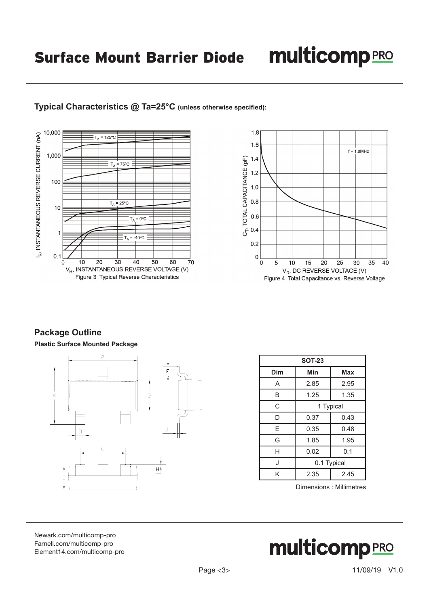## **multicomp**PRO

## **Typical Characteristics @ Ta=25°C (unless otherwise specified):**





## **Package Outline**

**Plastic Surface Mounted Package**



| <b>SOT-23</b> |             |      |  |  |  |
|---------------|-------------|------|--|--|--|
| Dim           | Min         | Max  |  |  |  |
| A             | 2.85        | 2.95 |  |  |  |
| B             | 1.25        | 1.35 |  |  |  |
| C             | 1 Typical   |      |  |  |  |
| D             | 0.37        | 0.43 |  |  |  |
| Е             | 0.35        | 0.48 |  |  |  |
| G             | 1.85        | 1.95 |  |  |  |
| Н             | 0.02        | 0.1  |  |  |  |
| J             | 0.1 Typical |      |  |  |  |
| Κ             | 2.35        | 2.45 |  |  |  |

Dimensions : Millimetres